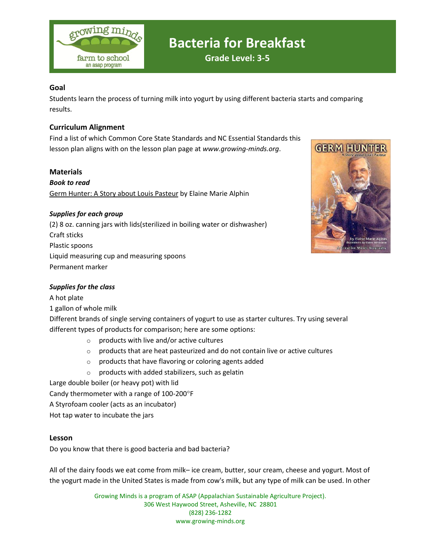

### **Goal**

Students learn the process of turning milk into yogurt by using different bacteria starts and comparing results.

## **Curriculum Alignment**

Find a list of which Common Core State Standards and NC Essential Standards this lesson plan aligns with on the lesson plan page at *www.growing-minds.org*.

#### **Materials**

*Book to read* Germ Hunter: A Story about Louis Pasteur by Elaine Marie Alphin

### *Supplies for each group*

(2) 8 oz. canning jars with lids(sterilized in boiling water or dishwasher) Craft sticks Plastic spoons Liquid measuring cup and measuring spoons Permanent marker



### *Supplies for the class*

A hot plate

1 gallon of whole milk

Different brands of single serving containers of yogurt to use as starter cultures. Try using several different types of products for comparison; here are some options:

- o products with live and/or active cultures
- $\circ$  products that are heat pasteurized and do not contain live or active cultures
- $\circ$  products that have flavoring or coloring agents added
- $\circ$  products with added stabilizers, such as gelatin

Large double boiler (or heavy pot) with lid

Candy thermometer with a range of 100-200°F

A Styrofoam cooler (acts as an incubator)

Hot tap water to incubate the jars

### **Lesson**

Do you know that there is good bacteria and bad bacteria?

All of the dairy foods we eat come from milk– ice cream, butter, sour cream, cheese and yogurt. Most of the yogurt made in the United States is made from cow's milk, but any type of milk can be used. In other

> Growing Minds is a program of ASAP (Appalachian Sustainable Agriculture Project). 306 West Haywood Street, Asheville, NC 28801 (828) 236-1282 www.growing-minds.org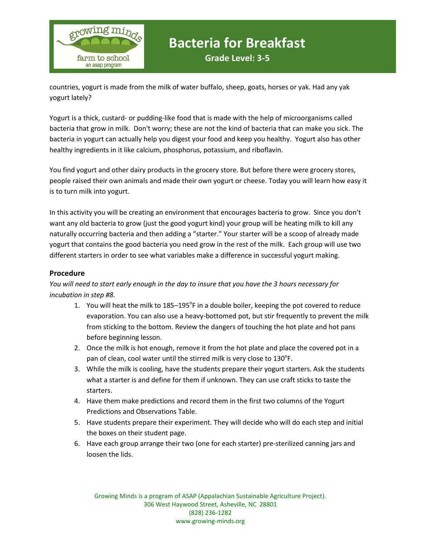

countries, yogurt is made from the milk of water buffalo, sheep, goats, horses or yak. Had any yak yogurt lately?

Yogurt is a thick, custard- or pudding-like food that is made with the help of microorganisms called<br>bacteria that grow in milk... Don't worry: these are not the kind of bacteria that can make you sick... I bacteria that grow in milk. Don't worry; these are not the kind of bacteria that can make you sick. The bacteria in yogurt can actually help you digest your food and keep you healthy. Yogurt also has other healthy ingredients in it like calcium, phosphorus, potassium, and riboflavin.

You find yogurt and other dairy products in the grocery store. But before there were grocery stores, people raised their own animals and made their own yogurt or cheese. Today you will learn how easy it is to turn milk into yogurt.

In this activity you will be creating an environment that encourages bacteria to grow. Since you don't want any old bacteria to grow (just the good yogurt kind) your group will be heating milk to kill any naturally occurring bacteria and then adding a "starter." Your starter will be a scoop of already made yogurt that contains the good bacteria you need grow in the rest of the milk. Each group will use two different starters in order to see what variables make a difference in successful yogurt making.

### **Procedure**

*You will need to start early enough in the day to insure that you have the 3 hours necessary for incubation in step #8.*

- 1. You will heat the milk to 185-195°F in a double boiler, keeping the pot covered to reduce evaporation. You can also use a heavy-bottomed pot, but stir frequently to prevent the milk from sticking to the bottom. Review the dangers of touching the hot plate and hot pans before beginning lesson.
- 2. Once the milk is hot enough, remove it from the hot plate and place the covered pot in a pan of clean, cool water until the stirred milk is very close to  $130^{\circ}$ F.
- 3. While the milk is cooling, have the students prepare their yogurt starters. Ask the students what a starter is and define for them if unknown. They can use craft sticks to taste the starters.
- 4. Have them make predictions and record them in the first two columns of the Yogurt Predictions and Observations Table.
- 5. Have students prepare their experiment. They will decide who will do each step and initial the boxes on their student page.
- 6. Have each group arrange their two (one for each starter) pre-sterilized canning jars and loosen the lids.

Growing Minds is a program of ASAP (Appalachian Sustainable Agriculture Project). 306 West Haywood Street, Asheville, NC 28801 (828) 236-1282 www.growing-minds.org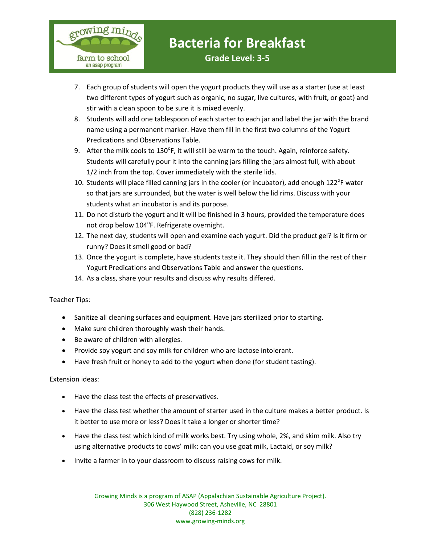

- 7. Each group of students will open the yogurt products they will use as a starter (use at least two different types of yogurt such as organic, no sugar, live cultures, with fruit, or goat) and stir with a clean spoon to be sure it is mixed evenly.
- 8. Students will add one tablespoon of each starter to each jar and label the jar with the brand<br>name using a nermanent marker. Have them fill in the first two columns of the Yogurt name using a permanent marker. Have them fill in the first two columns of the Yogurt Predications and Observations Table.
- 9. After the milk cools to 130°F, it will still be warm to the touch. Again, reinforce safety. Students will carefully pour it into the canning jars filling the jars almost full, with about 1/2 inch from the top. Cover immediately with the sterile lids.
- 10. Students will place filled canning jars in the cooler (or incubator), add enough 122 $^{\circ}$ F water so that jars are surrounded, but the water is well below the lid rims. Discuss with your students what an incubator is and its purpose.
- 11. Do not disturb the yogurt and it will be finished in 3 hours, provided the temperature does not drop below 104°F. Refrigerate overnight.
- 12. The next day, students will open and examine each yogurt. Did the product gel? Is it firm or runny? Does it smell good or bad?
- 13. Once the yogurt is complete, have students taste it. They should then fill in the rest of their Yogurt Predications and Observations Table and answer the questions.
- 14. As a class, share your results and discuss why results differed.

Teacher Tips:

- Sanitize all cleaning surfaces and equipment. Have jars sterilized prior to starting.
- Make sure children thoroughly wash their hands.
- Be aware of children with allergies.
- Provide soy yogurt and soy milk for children who are lactose intolerant.
- Have fresh fruit or honey to add to the yogurt when done (for student tasting).

Extension ideas:

- Have the class test the effects of preservatives.
- Have the class test whether the amount of starter used in the culture makes a better product. Is it better to use more or less? Does it take a longer or shorter time?
- Have the class test which kind of milk works best. Try using whole, 2%, and skim milk. Also try using alternative products to cows' milk: can you use goat milk, Lactaid, or soy milk?
- Invite a farmer in to your classroom to discuss raising cows for milk.